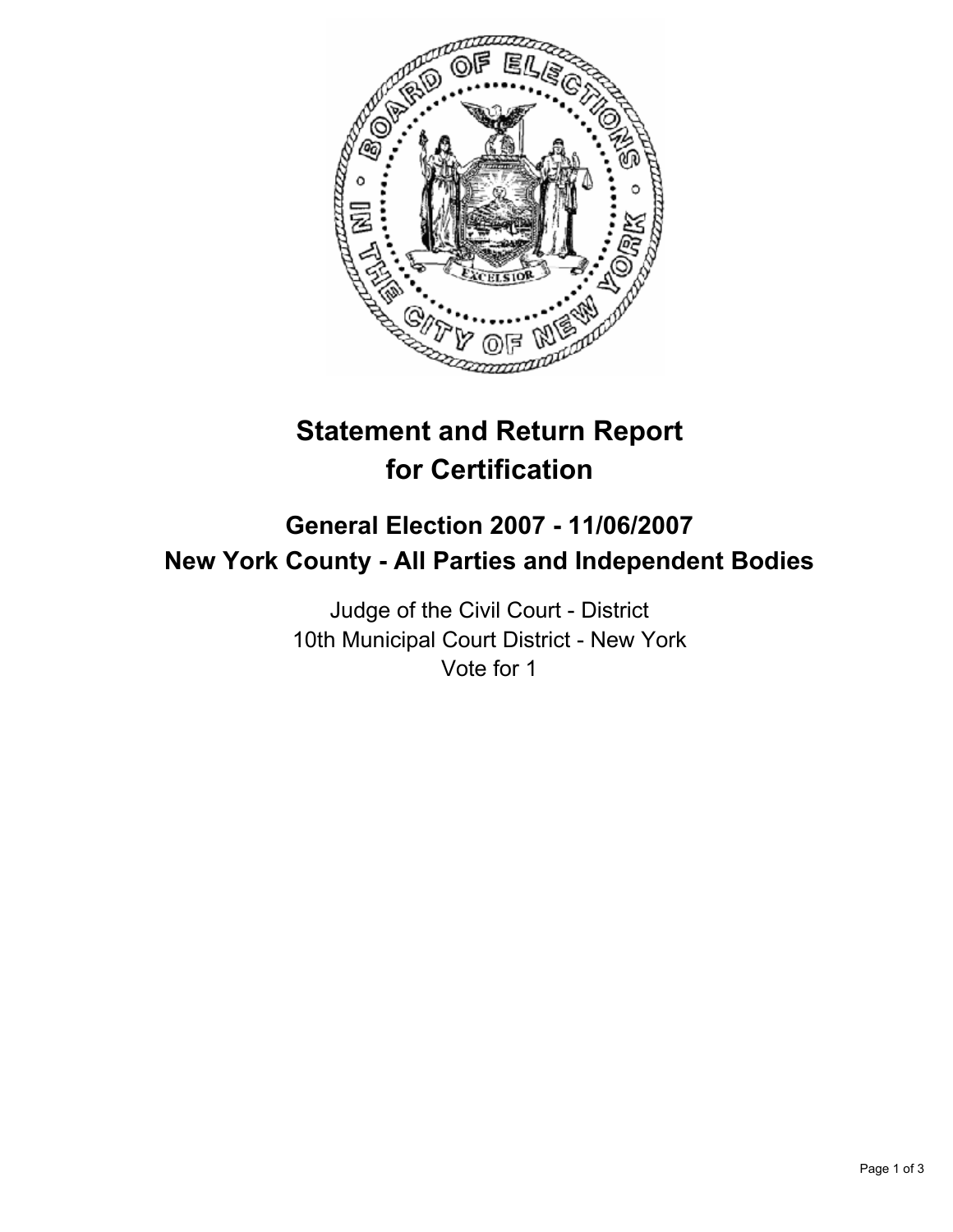

# **Statement and Return Report for Certification**

## **General Election 2007 - 11/06/2007 New York County - All Parties and Independent Bodies**

Judge of the Civil Court - District 10th Municipal Court District - New York Vote for 1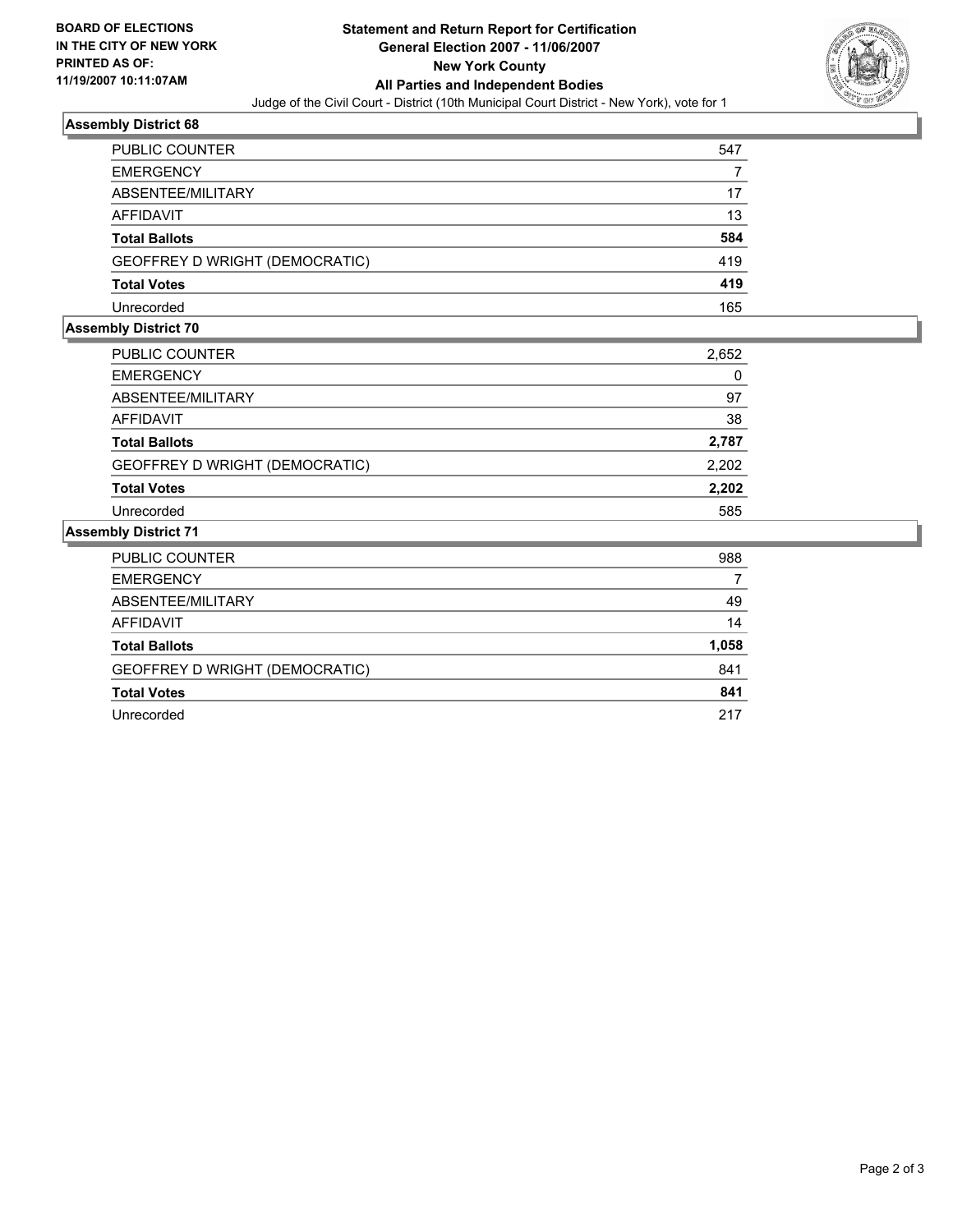

#### **Assembly District 68**

| PUBLIC COUNTER                 | 547 |
|--------------------------------|-----|
| <b>EMERGENCY</b>               |     |
| ABSENTEE/MILITARY              | 17  |
| <b>AFFIDAVIT</b>               | 13  |
| <b>Total Ballots</b>           | 584 |
| GEOFFREY D WRIGHT (DEMOCRATIC) | 419 |
| <b>Total Votes</b>             | 419 |
| Unrecorded                     | 165 |

#### **Assembly District 70**

| <b>PUBLIC COUNTER</b>          | 2,652 |  |
|--------------------------------|-------|--|
| <b>EMERGENCY</b>               | 0     |  |
| ABSENTEE/MILITARY              | 97    |  |
| AFFIDAVIT                      | 38    |  |
| <b>Total Ballots</b>           | 2,787 |  |
| GEOFFREY D WRIGHT (DEMOCRATIC) | 2,202 |  |
| <b>Total Votes</b>             | 2,202 |  |
| Unrecorded                     | 585   |  |

#### **Assembly District 71**

| 988   |
|-------|
|       |
| 49    |
| 14    |
| 1,058 |
| 841   |
| 841   |
| 217   |
|       |